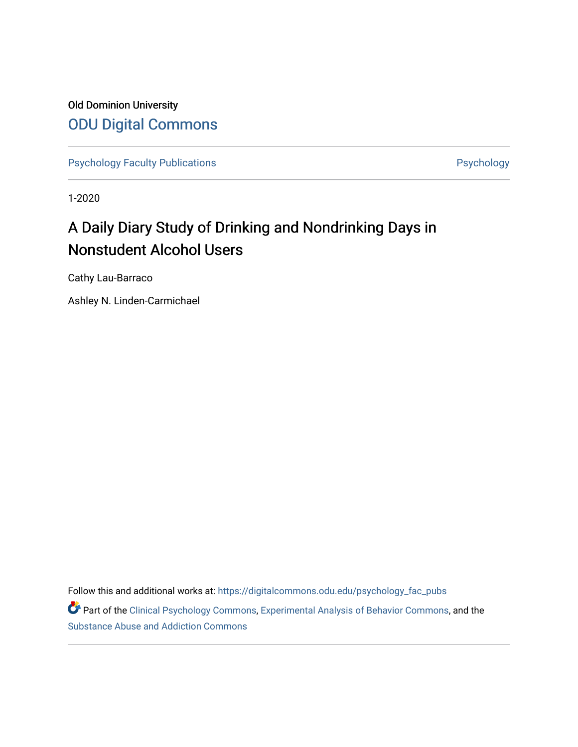Old Dominion University [ODU Digital Commons](https://digitalcommons.odu.edu/) 

[Psychology Faculty Publications](https://digitalcommons.odu.edu/psychology_fac_pubs) **Psychology** Psychology

1-2020

# A Daily Diary Study of Drinking and Nondrinking Days in Nonstudent Alcohol Users

Cathy Lau-Barraco

Ashley N. Linden-Carmichael

Follow this and additional works at: [https://digitalcommons.odu.edu/psychology\\_fac\\_pubs](https://digitalcommons.odu.edu/psychology_fac_pubs?utm_source=digitalcommons.odu.edu%2Fpsychology_fac_pubs%2F100&utm_medium=PDF&utm_campaign=PDFCoverPages)

Part of the [Clinical Psychology Commons,](http://network.bepress.com/hgg/discipline/406?utm_source=digitalcommons.odu.edu%2Fpsychology_fac_pubs%2F100&utm_medium=PDF&utm_campaign=PDFCoverPages) [Experimental Analysis of Behavior Commons,](http://network.bepress.com/hgg/discipline/1236?utm_source=digitalcommons.odu.edu%2Fpsychology_fac_pubs%2F100&utm_medium=PDF&utm_campaign=PDFCoverPages) and the [Substance Abuse and Addiction Commons](http://network.bepress.com/hgg/discipline/710?utm_source=digitalcommons.odu.edu%2Fpsychology_fac_pubs%2F100&utm_medium=PDF&utm_campaign=PDFCoverPages)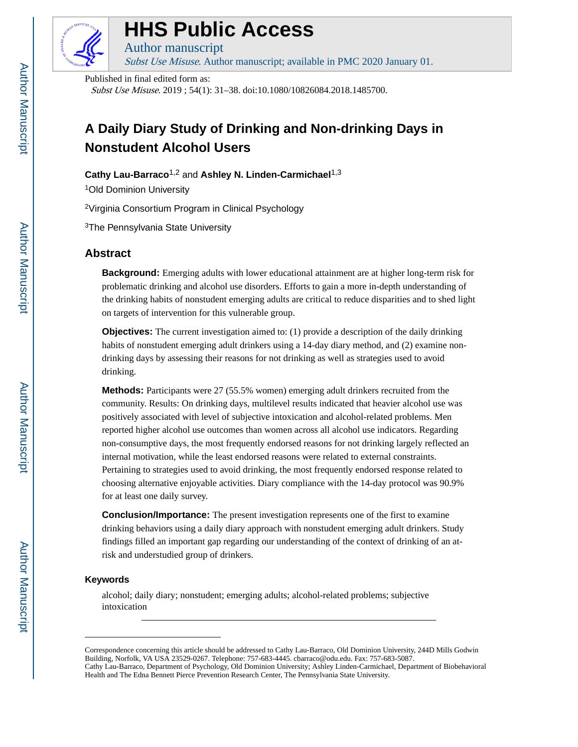

# **HHS Public Access**

Author manuscript Subst Use Misuse. Author manuscript; available in PMC 2020 January 01.

Published in final edited form as:

Subst Use Misuse. 2019 ; 54(1): 31–38. doi:10.1080/10826084.2018.1485700.

# **A Daily Diary Study of Drinking and Non-drinking Days in Nonstudent Alcohol Users**

**Cathy Lau-Barraco**1,2 and **Ashley N. Linden-Carmichael**1,3

<sup>1</sup>Old Dominion University

<sup>2</sup>Virginia Consortium Program in Clinical Psychology

<sup>3</sup>The Pennsylvania State University

# **Abstract**

**Background:** Emerging adults with lower educational attainment are at higher long-term risk for problematic drinking and alcohol use disorders. Efforts to gain a more in-depth understanding of the drinking habits of nonstudent emerging adults are critical to reduce disparities and to shed light on targets of intervention for this vulnerable group.

**Objectives:** The current investigation aimed to: (1) provide a description of the daily drinking habits of nonstudent emerging adult drinkers using a 14-day diary method, and (2) examine nondrinking days by assessing their reasons for not drinking as well as strategies used to avoid drinking.

**Methods:** Participants were 27 (55.5% women) emerging adult drinkers recruited from the community. Results: On drinking days, multilevel results indicated that heavier alcohol use was positively associated with level of subjective intoxication and alcohol-related problems. Men reported higher alcohol use outcomes than women across all alcohol use indicators. Regarding non-consumptive days, the most frequently endorsed reasons for not drinking largely reflected an internal motivation, while the least endorsed reasons were related to external constraints. Pertaining to strategies used to avoid drinking, the most frequently endorsed response related to choosing alternative enjoyable activities. Diary compliance with the 14-day protocol was 90.9% for at least one daily survey.

**Conclusion/Importance:** The present investigation represents one of the first to examine drinking behaviors using a daily diary approach with nonstudent emerging adult drinkers. Study findings filled an important gap regarding our understanding of the context of drinking of an atrisk and understudied group of drinkers.

# **Keywords**

alcohol; daily diary; nonstudent; emerging adults; alcohol-related problems; subjective intoxication

Correspondence concerning this article should be addressed to Cathy Lau-Barraco, Old Dominion University, 244D Mills Godwin Building, Norfolk, VA USA 23529-0267. Telephone: 757-683-4445. cbarraco@odu.edu. Fax: 757-683-5087. Cathy Lau-Barraco, Department of Psychology, Old Dominion University; Ashley Linden-Carmichael, Department of Biobehavioral Health and The Edna Bennett Pierce Prevention Research Center, The Pennsylvania State University.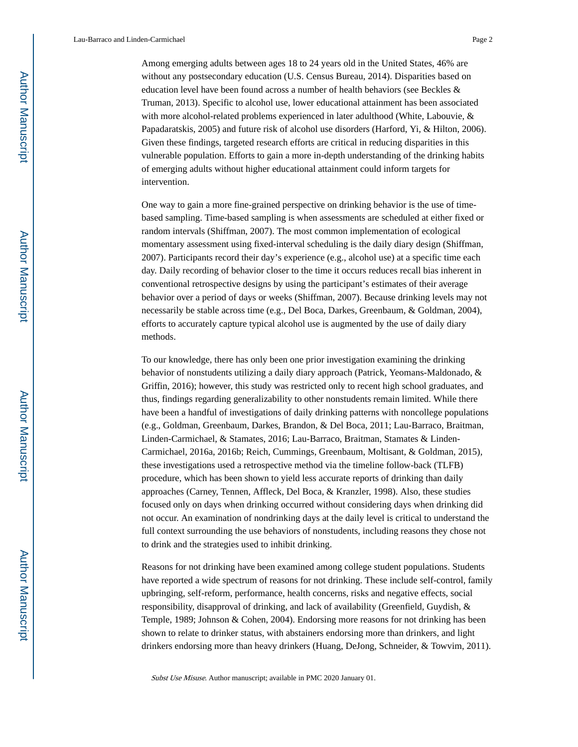Among emerging adults between ages 18 to 24 years old in the United States, 46% are without any postsecondary education (U.S. Census Bureau, 2014). Disparities based on education level have been found across a number of health behaviors (see Beckles & Truman, 2013). Specific to alcohol use, lower educational attainment has been associated with more alcohol-related problems experienced in later adulthood (White, Labouvie, & Papadaratskis, 2005) and future risk of alcohol use disorders (Harford, Yi, & Hilton, 2006). Given these findings, targeted research efforts are critical in reducing disparities in this vulnerable population. Efforts to gain a more in-depth understanding of the drinking habits of emerging adults without higher educational attainment could inform targets for intervention.

One way to gain a more fine-grained perspective on drinking behavior is the use of timebased sampling. Time-based sampling is when assessments are scheduled at either fixed or random intervals (Shiffman, 2007). The most common implementation of ecological momentary assessment using fixed-interval scheduling is the daily diary design (Shiffman, 2007). Participants record their day's experience (e.g., alcohol use) at a specific time each day. Daily recording of behavior closer to the time it occurs reduces recall bias inherent in conventional retrospective designs by using the participant's estimates of their average behavior over a period of days or weeks (Shiffman, 2007). Because drinking levels may not necessarily be stable across time (e.g., Del Boca, Darkes, Greenbaum, & Goldman, 2004), efforts to accurately capture typical alcohol use is augmented by the use of daily diary methods.

To our knowledge, there has only been one prior investigation examining the drinking behavior of nonstudents utilizing a daily diary approach (Patrick, Yeomans-Maldonado, & Griffin, 2016); however, this study was restricted only to recent high school graduates, and thus, findings regarding generalizability to other nonstudents remain limited. While there have been a handful of investigations of daily drinking patterns with noncollege populations (e.g., Goldman, Greenbaum, Darkes, Brandon, & Del Boca, 2011; Lau-Barraco, Braitman, Linden-Carmichael, & Stamates, 2016; Lau-Barraco, Braitman, Stamates & Linden-Carmichael, 2016a, 2016b; Reich, Cummings, Greenbaum, Moltisant, & Goldman, 2015), these investigations used a retrospective method via the timeline follow-back (TLFB) procedure, which has been shown to yield less accurate reports of drinking than daily approaches (Carney, Tennen, Affleck, Del Boca, & Kranzler, 1998). Also, these studies focused only on days when drinking occurred without considering days when drinking did not occur. An examination of nondrinking days at the daily level is critical to understand the full context surrounding the use behaviors of nonstudents, including reasons they chose not to drink and the strategies used to inhibit drinking.

Reasons for not drinking have been examined among college student populations. Students have reported a wide spectrum of reasons for not drinking. These include self-control, family upbringing, self-reform, performance, health concerns, risks and negative effects, social responsibility, disapproval of drinking, and lack of availability (Greenfield, Guydish, & Temple, 1989; Johnson & Cohen, 2004). Endorsing more reasons for not drinking has been shown to relate to drinker status, with abstainers endorsing more than drinkers, and light drinkers endorsing more than heavy drinkers (Huang, DeJong, Schneider, & Towvim, 2011).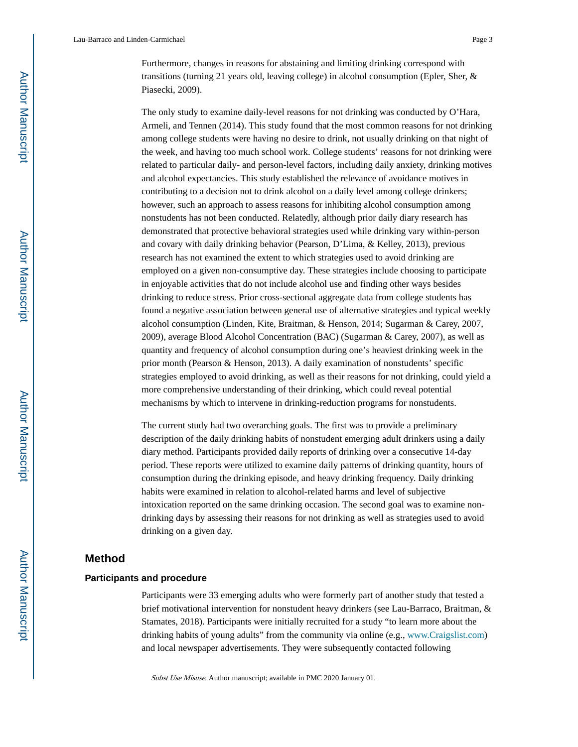Lau-Barraco and Linden-Carmichael Page 3

Furthermore, changes in reasons for abstaining and limiting drinking correspond with transitions (turning 21 years old, leaving college) in alcohol consumption (Epler, Sher, & Piasecki, 2009).

The only study to examine daily-level reasons for not drinking was conducted by O'Hara, Armeli, and Tennen (2014). This study found that the most common reasons for not drinking among college students were having no desire to drink, not usually drinking on that night of the week, and having too much school work. College students' reasons for not drinking were related to particular daily- and person-level factors, including daily anxiety, drinking motives and alcohol expectancies. This study established the relevance of avoidance motives in contributing to a decision not to drink alcohol on a daily level among college drinkers; however, such an approach to assess reasons for inhibiting alcohol consumption among nonstudents has not been conducted. Relatedly, although prior daily diary research has demonstrated that protective behavioral strategies used while drinking vary within-person and covary with daily drinking behavior (Pearson, D'Lima, & Kelley, 2013), previous research has not examined the extent to which strategies used to avoid drinking are employed on a given non-consumptive day. These strategies include choosing to participate in enjoyable activities that do not include alcohol use and finding other ways besides drinking to reduce stress. Prior cross-sectional aggregate data from college students has found a negative association between general use of alternative strategies and typical weekly alcohol consumption (Linden, Kite, Braitman, & Henson, 2014; Sugarman & Carey, 2007, 2009), average Blood Alcohol Concentration (BAC) (Sugarman & Carey, 2007), as well as quantity and frequency of alcohol consumption during one's heaviest drinking week in the prior month (Pearson & Henson, 2013). A daily examination of nonstudents' specific strategies employed to avoid drinking, as well as their reasons for not drinking, could yield a more comprehensive understanding of their drinking, which could reveal potential mechanisms by which to intervene in drinking-reduction programs for nonstudents.

The current study had two overarching goals. The first was to provide a preliminary description of the daily drinking habits of nonstudent emerging adult drinkers using a daily diary method. Participants provided daily reports of drinking over a consecutive 14-day period. These reports were utilized to examine daily patterns of drinking quantity, hours of consumption during the drinking episode, and heavy drinking frequency. Daily drinking habits were examined in relation to alcohol-related harms and level of subjective intoxication reported on the same drinking occasion. The second goal was to examine nondrinking days by assessing their reasons for not drinking as well as strategies used to avoid drinking on a given day.

## **Method**

## **Participants and procedure**

Participants were 33 emerging adults who were formerly part of another study that tested a brief motivational intervention for nonstudent heavy drinkers (see Lau-Barraco, Braitman, & Stamates, 2018). Participants were initially recruited for a study "to learn more about the drinking habits of young adults" from the community via online (e.g., [www.Craigslist.com](http://www.Craigslist.com)) and local newspaper advertisements. They were subsequently contacted following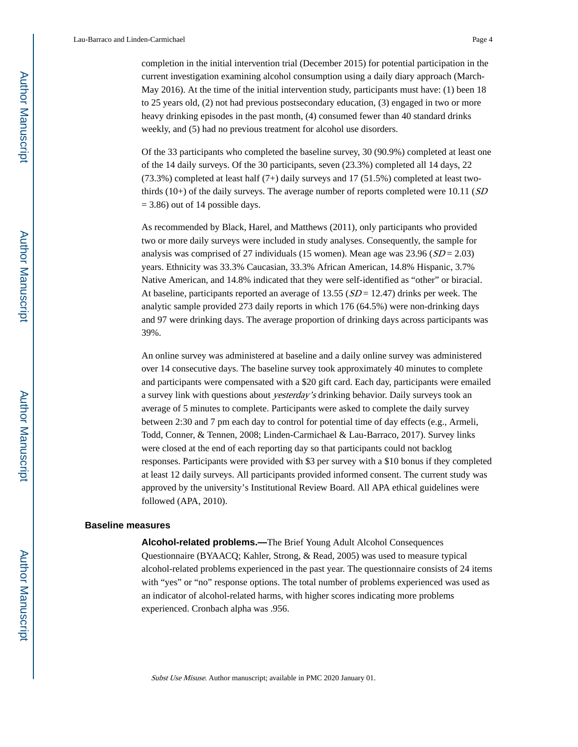Lau-Barraco and Linden-Carmichael Page 4

completion in the initial intervention trial (December 2015) for potential participation in the current investigation examining alcohol consumption using a daily diary approach (March-May 2016). At the time of the initial intervention study, participants must have: (1) been 18 to 25 years old, (2) not had previous postsecondary education, (3) engaged in two or more heavy drinking episodes in the past month, (4) consumed fewer than 40 standard drinks weekly, and (5) had no previous treatment for alcohol use disorders.

Of the 33 participants who completed the baseline survey, 30 (90.9%) completed at least one of the 14 daily surveys. Of the 30 participants, seven (23.3%) completed all 14 days, 22  $(73.3%)$  completed at least half  $(7+)$  daily surveys and 17  $(51.5%)$  completed at least twothirds (10+) of the daily surveys. The average number of reports completed were 10.11  $(SD)$  $= 3.86$ ) out of 14 possible days.

As recommended by Black, Harel, and Matthews (2011), only participants who provided two or more daily surveys were included in study analyses. Consequently, the sample for analysis was comprised of 27 individuals (15 women). Mean age was  $23.96$  ( $SD = 2.03$ ) years. Ethnicity was 33.3% Caucasian, 33.3% African American, 14.8% Hispanic, 3.7% Native American, and 14.8% indicated that they were self-identified as "other" or biracial. At baseline, participants reported an average of 13.55 ( $SD = 12.47$ ) drinks per week. The analytic sample provided 273 daily reports in which 176 (64.5%) were non-drinking days and 97 were drinking days. The average proportion of drinking days across participants was 39%.

An online survey was administered at baseline and a daily online survey was administered over 14 consecutive days. The baseline survey took approximately 40 minutes to complete and participants were compensated with a \$20 gift card. Each day, participants were emailed a survey link with questions about yesterday's drinking behavior. Daily surveys took an average of 5 minutes to complete. Participants were asked to complete the daily survey between 2:30 and 7 pm each day to control for potential time of day effects (e.g., Armeli, Todd, Conner, & Tennen, 2008; Linden-Carmichael & Lau-Barraco, 2017). Survey links were closed at the end of each reporting day so that participants could not backlog responses. Participants were provided with \$3 per survey with a \$10 bonus if they completed at least 12 daily surveys. All participants provided informed consent. The current study was approved by the university's Institutional Review Board. All APA ethical guidelines were followed (APA, 2010).

#### **Baseline measures**

**Alcohol-related problems.—**The Brief Young Adult Alcohol Consequences Questionnaire (BYAACQ; Kahler, Strong, & Read, 2005) was used to measure typical alcohol-related problems experienced in the past year. The questionnaire consists of 24 items with "yes" or "no" response options. The total number of problems experienced was used as an indicator of alcohol-related harms, with higher scores indicating more problems experienced. Cronbach alpha was .956.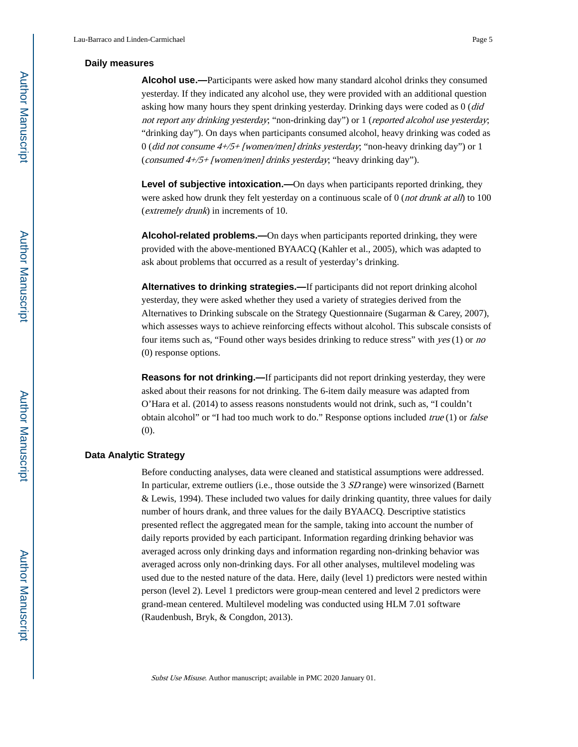#### **Daily measures**

**Alcohol use.—**Participants were asked how many standard alcohol drinks they consumed yesterday. If they indicated any alcohol use, they were provided with an additional question asking how many hours they spent drinking yesterday. Drinking days were coded as  $0$  ( $did$ not report any drinking yesterday; "non-drinking day") or 1 (reported alcohol use yesterday; "drinking day"). On days when participants consumed alcohol, heavy drinking was coded as 0 (did not consume 4+/5+ [women/men] drinks yesterday; "non-heavy drinking day") or 1 (consumed 4+/5+ [women/men] drinks yesterday; "heavy drinking day").

**Level of subjective intoxication.—On** days when participants reported drinking, they were asked how drunk they felt yesterday on a continuous scale of 0 (*not drunk at all*) to 100 (extremely drunk) in increments of 10.

**Alcohol-related problems.—**On days when participants reported drinking, they were provided with the above-mentioned BYAACQ (Kahler et al., 2005), which was adapted to ask about problems that occurred as a result of yesterday's drinking.

**Alternatives to drinking strategies.—**If participants did not report drinking alcohol yesterday, they were asked whether they used a variety of strategies derived from the Alternatives to Drinking subscale on the Strategy Questionnaire (Sugarman & Carey, 2007), which assesses ways to achieve reinforcing effects without alcohol. This subscale consists of four items such as, "Found other ways besides drinking to reduce stress" with yes (1) or no (0) response options.

**Reasons for not drinking.—**If participants did not report drinking yesterday, they were asked about their reasons for not drinking. The 6-item daily measure was adapted from O'Hara et al. (2014) to assess reasons nonstudents would not drink, such as, "I couldn't obtain alcohol" or "I had too much work to do." Response options included *true*  $(1)$  or *false* (0).

### **Data Analytic Strategy**

Before conducting analyses, data were cleaned and statistical assumptions were addressed. In particular, extreme outliers (i.e., those outside the 3 *SD* range) were winsorized (Barnett & Lewis, 1994). These included two values for daily drinking quantity, three values for daily number of hours drank, and three values for the daily BYAACQ. Descriptive statistics presented reflect the aggregated mean for the sample, taking into account the number of daily reports provided by each participant. Information regarding drinking behavior was averaged across only drinking days and information regarding non-drinking behavior was averaged across only non-drinking days. For all other analyses, multilevel modeling was used due to the nested nature of the data. Here, daily (level 1) predictors were nested within person (level 2). Level 1 predictors were group-mean centered and level 2 predictors were grand-mean centered. Multilevel modeling was conducted using HLM 7.01 software (Raudenbush, Bryk, & Congdon, 2013).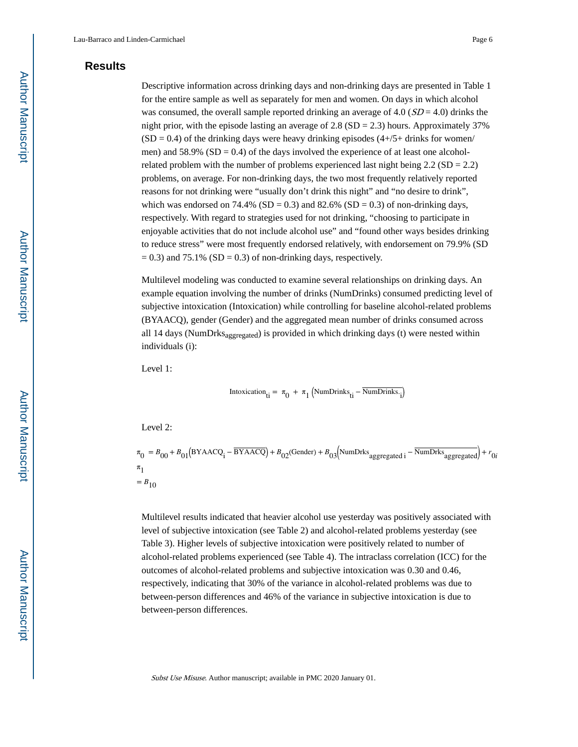# **Results**

Descriptive information across drinking days and non-drinking days are presented in Table 1 for the entire sample as well as separately for men and women. On days in which alcohol was consumed, the overall sample reported drinking an average of 4.0 ( $SD = 4.0$ ) drinks the night prior, with the episode lasting an average of  $2.8$  (SD =  $2.3$ ) hours. Approximately 37%  $(SD = 0.4)$  of the drinking days were heavy drinking episodes  $(4+/5+)$  drinks for women/ men) and 58.9% ( $SD = 0.4$ ) of the days involved the experience of at least one alcoholrelated problem with the number of problems experienced last night being  $2.2$  (SD = 2.2) problems, on average. For non-drinking days, the two most frequently relatively reported reasons for not drinking were "usually don't drink this night" and "no desire to drink", which was endorsed on 74.4% (SD = 0.3) and 82.6% (SD = 0.3) of non-drinking days, respectively. With regard to strategies used for not drinking, "choosing to participate in enjoyable activities that do not include alcohol use" and "found other ways besides drinking to reduce stress" were most frequently endorsed relatively, with endorsement on 79.9% (SD  $= 0.3$ ) and 75.1% (SD  $= 0.3$ ) of non-drinking days, respectively.

Multilevel modeling was conducted to examine several relationships on drinking days. An example equation involving the number of drinks (NumDrinks) consumed predicting level of subjective intoxication (Intoxication) while controlling for baseline alcohol-related problems (BYAACQ), gender (Gender) and the aggregated mean number of drinks consumed across all 14 days (NumDrks $_{\text{aggreated}}$ ) is provided in which drinking days (t) were nested within individuals (i):

Level 1:

$$
Intoxication_{ti} = \pi_0 + \pi_1 (NumDrinks_{ti} - \overline{NumDrinks}_{i})
$$

Level 2:

 $\pi_0 = B_{00} + B_{01}$ (BYAACQ<sub>i</sub> – BYAACQ) +  $B_{02}$ (Gender) +  $B_{03}$ (NumDrks<sub>aggregated i</sub> – NumDrks<sub>aggregated</sub>) + *r*<sub>0*i*</sub>  $\pi$ <sub>1</sub>  $= B_{10}$ 

Multilevel results indicated that heavier alcohol use yesterday was positively associated with level of subjective intoxication (see Table 2) and alcohol-related problems yesterday (see Table 3). Higher levels of subjective intoxication were positively related to number of alcohol-related problems experienced (see Table 4). The intraclass correlation (ICC) for the outcomes of alcohol-related problems and subjective intoxication was 0.30 and 0.46, respectively, indicating that 30% of the variance in alcohol-related problems was due to between-person differences and 46% of the variance in subjective intoxication is due to between-person differences.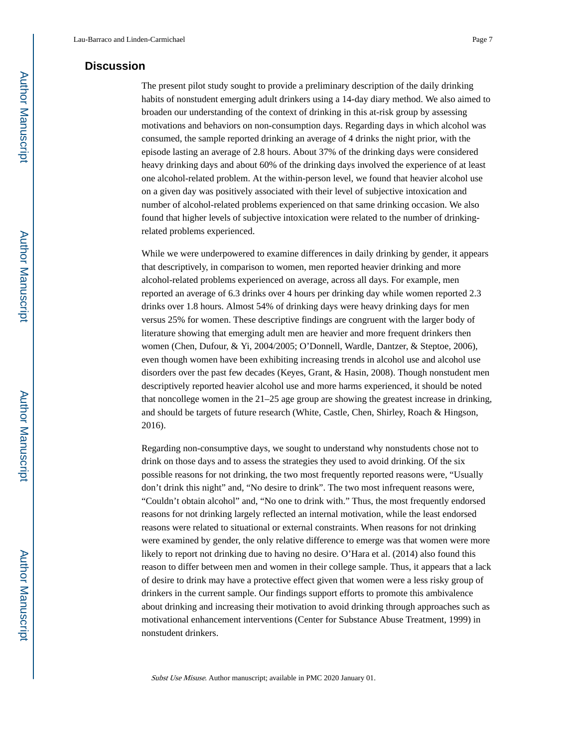# **Discussion**

The present pilot study sought to provide a preliminary description of the daily drinking habits of nonstudent emerging adult drinkers using a 14-day diary method. We also aimed to broaden our understanding of the context of drinking in this at-risk group by assessing motivations and behaviors on non-consumption days. Regarding days in which alcohol was consumed, the sample reported drinking an average of 4 drinks the night prior, with the episode lasting an average of 2.8 hours. About 37% of the drinking days were considered heavy drinking days and about 60% of the drinking days involved the experience of at least one alcohol-related problem. At the within-person level, we found that heavier alcohol use on a given day was positively associated with their level of subjective intoxication and number of alcohol-related problems experienced on that same drinking occasion. We also found that higher levels of subjective intoxication were related to the number of drinkingrelated problems experienced.

While we were underpowered to examine differences in daily drinking by gender, it appears that descriptively, in comparison to women, men reported heavier drinking and more alcohol-related problems experienced on average, across all days. For example, men reported an average of 6.3 drinks over 4 hours per drinking day while women reported 2.3 drinks over 1.8 hours. Almost 54% of drinking days were heavy drinking days for men versus 25% for women. These descriptive findings are congruent with the larger body of literature showing that emerging adult men are heavier and more frequent drinkers then women (Chen, Dufour, & Yi, 2004/2005; O'Donnell, Wardle, Dantzer, & Steptoe, 2006), even though women have been exhibiting increasing trends in alcohol use and alcohol use disorders over the past few decades (Keyes, Grant, & Hasin, 2008). Though nonstudent men descriptively reported heavier alcohol use and more harms experienced, it should be noted that noncollege women in the 21–25 age group are showing the greatest increase in drinking, and should be targets of future research (White, Castle, Chen, Shirley, Roach & Hingson, 2016).

Regarding non-consumptive days, we sought to understand why nonstudents chose not to drink on those days and to assess the strategies they used to avoid drinking. Of the six possible reasons for not drinking, the two most frequently reported reasons were, "Usually don't drink this night" and, "No desire to drink". The two most infrequent reasons were, "Couldn't obtain alcohol" and, "No one to drink with." Thus, the most frequently endorsed reasons for not drinking largely reflected an internal motivation, while the least endorsed reasons were related to situational or external constraints. When reasons for not drinking were examined by gender, the only relative difference to emerge was that women were more likely to report not drinking due to having no desire. O'Hara et al. (2014) also found this reason to differ between men and women in their college sample. Thus, it appears that a lack of desire to drink may have a protective effect given that women were a less risky group of drinkers in the current sample. Our findings support efforts to promote this ambivalence about drinking and increasing their motivation to avoid drinking through approaches such as motivational enhancement interventions (Center for Substance Abuse Treatment, 1999) in nonstudent drinkers.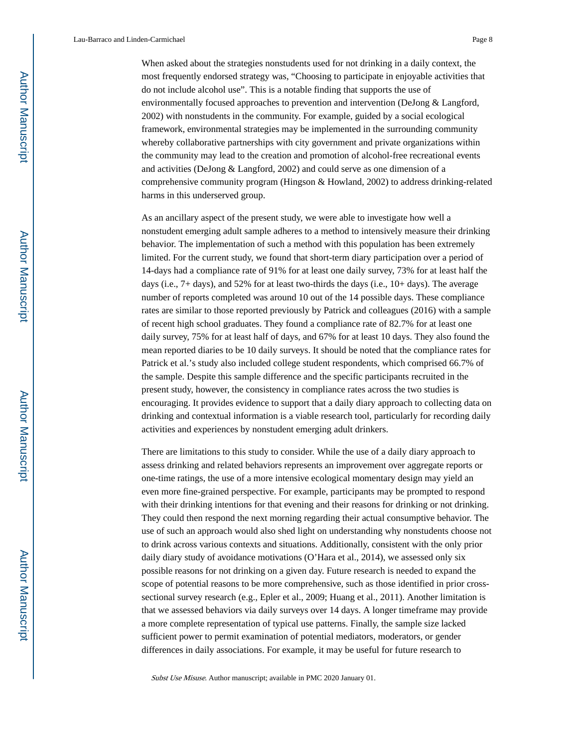Lau-Barraco and Linden-Carmichael Page 8

When asked about the strategies nonstudents used for not drinking in a daily context, the most frequently endorsed strategy was, "Choosing to participate in enjoyable activities that do not include alcohol use". This is a notable finding that supports the use of environmentally focused approaches to prevention and intervention (DeJong & Langford, 2002) with nonstudents in the community. For example, guided by a social ecological framework, environmental strategies may be implemented in the surrounding community whereby collaborative partnerships with city government and private organizations within the community may lead to the creation and promotion of alcohol-free recreational events and activities (DeJong & Langford, 2002) and could serve as one dimension of a comprehensive community program (Hingson & Howland, 2002) to address drinking-related harms in this underserved group.

As an ancillary aspect of the present study, we were able to investigate how well a nonstudent emerging adult sample adheres to a method to intensively measure their drinking behavior. The implementation of such a method with this population has been extremely limited. For the current study, we found that short-term diary participation over a period of 14-days had a compliance rate of 91% for at least one daily survey, 73% for at least half the days (i.e., 7+ days), and 52% for at least two-thirds the days (i.e., 10+ days). The average number of reports completed was around 10 out of the 14 possible days. These compliance rates are similar to those reported previously by Patrick and colleagues (2016) with a sample of recent high school graduates. They found a compliance rate of 82.7% for at least one daily survey, 75% for at least half of days, and 67% for at least 10 days. They also found the mean reported diaries to be 10 daily surveys. It should be noted that the compliance rates for Patrick et al.'s study also included college student respondents, which comprised 66.7% of the sample. Despite this sample difference and the specific participants recruited in the present study, however, the consistency in compliance rates across the two studies is encouraging. It provides evidence to support that a daily diary approach to collecting data on drinking and contextual information is a viable research tool, particularly for recording daily activities and experiences by nonstudent emerging adult drinkers.

There are limitations to this study to consider. While the use of a daily diary approach to assess drinking and related behaviors represents an improvement over aggregate reports or one-time ratings, the use of a more intensive ecological momentary design may yield an even more fine-grained perspective. For example, participants may be prompted to respond with their drinking intentions for that evening and their reasons for drinking or not drinking. They could then respond the next morning regarding their actual consumptive behavior. The use of such an approach would also shed light on understanding why nonstudents choose not to drink across various contexts and situations. Additionally, consistent with the only prior daily diary study of avoidance motivations (O'Hara et al., 2014), we assessed only six possible reasons for not drinking on a given day. Future research is needed to expand the scope of potential reasons to be more comprehensive, such as those identified in prior crosssectional survey research (e.g., Epler et al., 2009; Huang et al., 2011). Another limitation is that we assessed behaviors via daily surveys over 14 days. A longer timeframe may provide a more complete representation of typical use patterns. Finally, the sample size lacked sufficient power to permit examination of potential mediators, moderators, or gender differences in daily associations. For example, it may be useful for future research to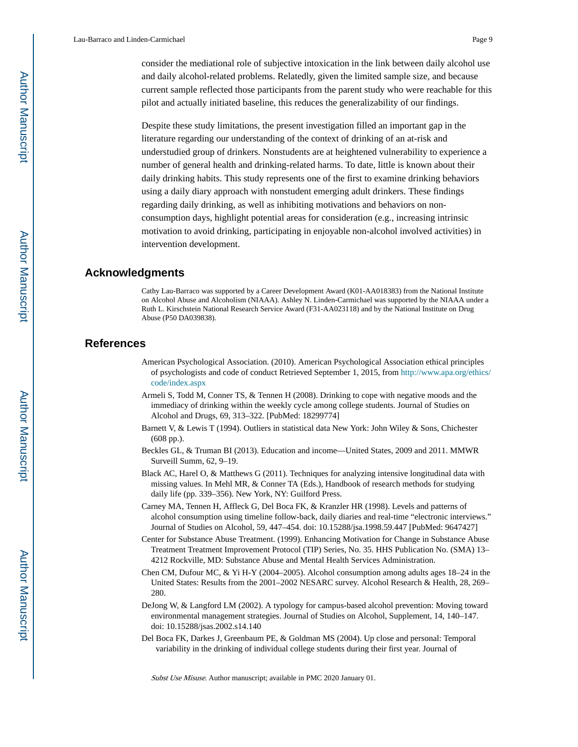consider the mediational role of subjective intoxication in the link between daily alcohol use and daily alcohol-related problems. Relatedly, given the limited sample size, and because current sample reflected those participants from the parent study who were reachable for this pilot and actually initiated baseline, this reduces the generalizability of our findings.

Despite these study limitations, the present investigation filled an important gap in the literature regarding our understanding of the context of drinking of an at-risk and understudied group of drinkers. Nonstudents are at heightened vulnerability to experience a number of general health and drinking-related harms. To date, little is known about their daily drinking habits. This study represents one of the first to examine drinking behaviors using a daily diary approach with nonstudent emerging adult drinkers. These findings regarding daily drinking, as well as inhibiting motivations and behaviors on nonconsumption days, highlight potential areas for consideration (e.g., increasing intrinsic motivation to avoid drinking, participating in enjoyable non-alcohol involved activities) in intervention development.

# **Acknowledgments**

Cathy Lau-Barraco was supported by a Career Development Award (K01-AA018383) from the National Institute on Alcohol Abuse and Alcoholism (NIAAA). Ashley N. Linden-Carmichael was supported by the NIAAA under a Ruth L. Kirschstein National Research Service Award (F31-AA023118) and by the National Institute on Drug Abuse (P50 DA039838).

# **References**

- American Psychological Association. (2010). American Psychological Association ethical principles of psychologists and code of conduct Retrieved September 1, 2015, from [http://www.apa.org/ethics/](http://www.apa.org/ethics/code/index.aspx) [code/index.aspx](http://www.apa.org/ethics/code/index.aspx)
- Armeli S, Todd M, Conner TS, & Tennen H (2008). Drinking to cope with negative moods and the immediacy of drinking within the weekly cycle among college students. Journal of Studies on Alcohol and Drugs, 69, 313–322. [PubMed: 18299774]
- Barnett V, & Lewis T (1994). Outliers in statistical data New York: John Wiley & Sons, Chichester (608 pp.).
- Beckles GL, & Truman BI (2013). Education and income—United States, 2009 and 2011. MMWR Surveill Summ, 62, 9–19.
- Black AC, Harel O, & Matthews G (2011). Techniques for analyzing intensive longitudinal data with missing values. In Mehl MR, & Conner TA (Eds.), Handbook of research methods for studying daily life (pp. 339–356). New York, NY: Guilford Press.
- Carney MA, Tennen H, Affleck G, Del Boca FK, & Kranzler HR (1998). Levels and patterns of alcohol consumption using timeline follow-back, daily diaries and real-time "electronic interviews." Journal of Studies on Alcohol, 59, 447–454. doi: 10.15288/jsa.1998.59.447 [PubMed: 9647427]
- Center for Substance Abuse Treatment. (1999). Enhancing Motivation for Change in Substance Abuse Treatment Treatment Improvement Protocol (TIP) Series, No. 35. HHS Publication No. (SMA) 13– 4212 Rockville, MD: Substance Abuse and Mental Health Services Administration.
- Chen CM, Dufour MC, & Yi H-Y (2004–2005). Alcohol consumption among adults ages 18–24 in the United States: Results from the 2001–2002 NESARC survey. Alcohol Research & Health, 28, 269– 280.
- DeJong W, & Langford LM (2002). A typology for campus-based alcohol prevention: Moving toward environmental management strategies. Journal of Studies on Alcohol, Supplement, 14, 140–147. doi: 10.15288/jsas.2002.s14.140
- Del Boca FK, Darkes J, Greenbaum PE, & Goldman MS (2004). Up close and personal: Temporal variability in the drinking of individual college students during their first year. Journal of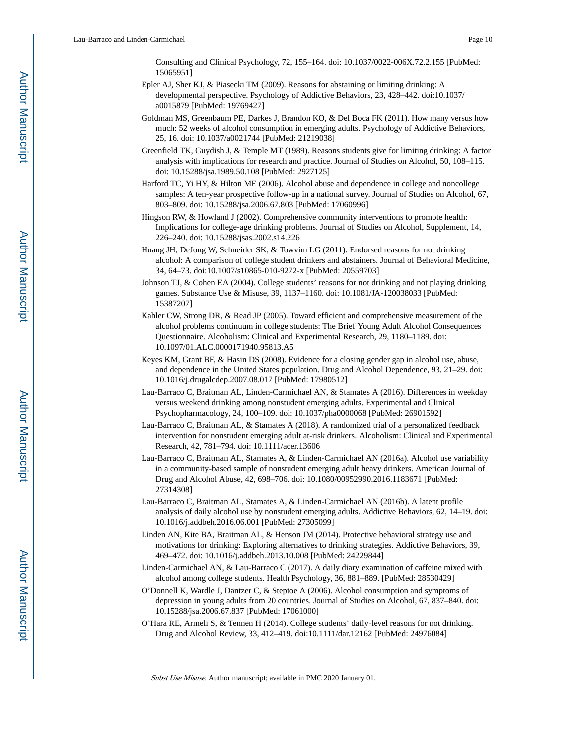Consulting and Clinical Psychology, 72, 155–164. doi: 10.1037/0022-006X.72.2.155 [PubMed: 15065951]

- Epler AJ, Sher KJ, & Piasecki TM (2009). Reasons for abstaining or limiting drinking: A developmental perspective. Psychology of Addictive Behaviors, 23, 428–442. doi:10.1037/ a0015879 [PubMed: 19769427]
- Goldman MS, Greenbaum PE, Darkes J, Brandon KO, & Del Boca FK (2011). How many versus how much: 52 weeks of alcohol consumption in emerging adults. Psychology of Addictive Behaviors, 25, 16. doi: 10.1037/a0021744 [PubMed: 21219038]
- Greenfield TK, Guydish J, & Temple MT (1989). Reasons students give for limiting drinking: A factor analysis with implications for research and practice. Journal of Studies on Alcohol, 50, 108–115. doi: 10.15288/jsa.1989.50.108 [PubMed: 2927125]
- Harford TC, Yi HY, & Hilton ME (2006). Alcohol abuse and dependence in college and noncollege samples: A ten-year prospective follow-up in a national survey. Journal of Studies on Alcohol, 67, 803–809. doi: 10.15288/jsa.2006.67.803 [PubMed: 17060996]
- Hingson RW, & Howland J (2002). Comprehensive community interventions to promote health: Implications for college-age drinking problems. Journal of Studies on Alcohol, Supplement, 14, 226–240. doi: 10.15288/jsas.2002.s14.226
- Huang JH, DeJong W, Schneider SK, & Towvim LG (2011). Endorsed reasons for not drinking alcohol: A comparison of college student drinkers and abstainers. Journal of Behavioral Medicine, 34, 64–73. doi:10.1007/s10865-010-9272-x [PubMed: 20559703]
- Johnson TJ, & Cohen EA (2004). College students' reasons for not drinking and not playing drinking games. Substance Use & Misuse, 39, 1137–1160. doi: 10.1081/JA-120038033 [PubMed: 15387207]
- Kahler CW, Strong DR, & Read JP (2005). Toward efficient and comprehensive measurement of the alcohol problems continuum in college students: The Brief Young Adult Alcohol Consequences Questionnaire. Alcoholism: Clinical and Experimental Research, 29, 1180–1189. doi: 10.1097/01.ALC.0000171940.95813.A5
- Keyes KM, Grant BF, & Hasin DS (2008). Evidence for a closing gender gap in alcohol use, abuse, and dependence in the United States population. Drug and Alcohol Dependence, 93, 21–29. doi: 10.1016/j.drugalcdep.2007.08.017 [PubMed: 17980512]
- Lau-Barraco C, Braitman AL, Linden-Carmichael AN, & Stamates A (2016). Differences in weekday versus weekend drinking among nonstudent emerging adults. Experimental and Clinical Psychopharmacology, 24, 100–109. doi: 10.1037/pha0000068 [PubMed: 26901592]
- Lau-Barraco C, Braitman AL, & Stamates A (2018). A randomized trial of a personalized feedback intervention for nonstudent emerging adult at-risk drinkers. Alcoholism: Clinical and Experimental Research, 42, 781–794. doi: 10.1111/acer.13606
- Lau-Barraco C, Braitman AL, Stamates A, & Linden-Carmichael AN (2016a). Alcohol use variability in a community-based sample of nonstudent emerging adult heavy drinkers. American Journal of Drug and Alcohol Abuse, 42, 698–706. doi: 10.1080/00952990.2016.1183671 [PubMed: 27314308]
- Lau-Barraco C, Braitman AL, Stamates A, & Linden-Carmichael AN (2016b). A latent profile analysis of daily alcohol use by nonstudent emerging adults. Addictive Behaviors, 62, 14–19. doi: 10.1016/j.addbeh.2016.06.001 [PubMed: 27305099]
- Linden AN, Kite BA, Braitman AL, & Henson JM (2014). Protective behavioral strategy use and motivations for drinking: Exploring alternatives to drinking strategies. Addictive Behaviors, 39, 469–472. doi: 10.1016/j.addbeh.2013.10.008 [PubMed: 24229844]
- Linden-Carmichael AN, & Lau-Barraco C (2017). A daily diary examination of caffeine mixed with alcohol among college students. Health Psychology, 36, 881–889. [PubMed: 28530429]
- O'Donnell K, Wardle J, Dantzer C, & Steptoe A (2006). Alcohol consumption and symptoms of depression in young adults from 20 countries. Journal of Studies on Alcohol, 67, 837–840. doi: 10.15288/jsa.2006.67.837 [PubMed: 17061000]
- O'Hara RE, Armeli S, & Tennen H (2014). College students' daily-level reasons for not drinking. Drug and Alcohol Review, 33, 412–419. doi:10.1111/dar.12162 [PubMed: 24976084]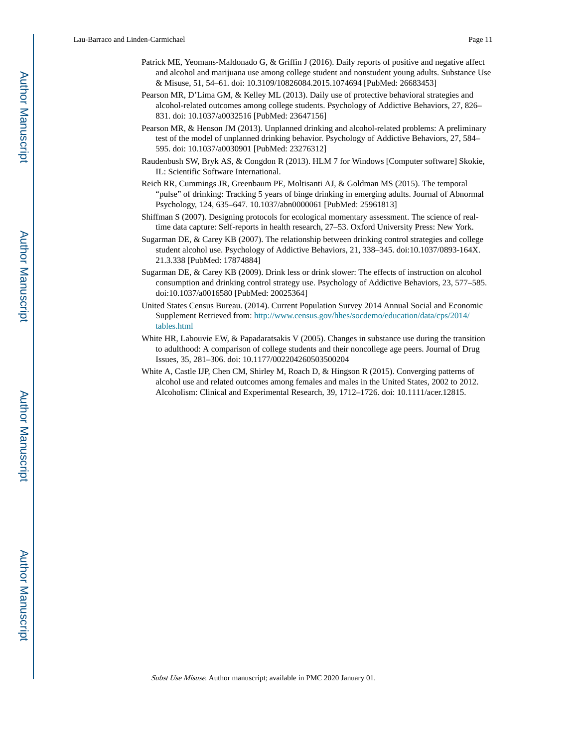- Patrick ME, Yeomans-Maldonado G, & Griffin J (2016). Daily reports of positive and negative affect and alcohol and marijuana use among college student and nonstudent young adults. Substance Use & Misuse, 51, 54–61. doi: 10.3109/10826084.2015.1074694 [PubMed: 26683453]
- Pearson MR, D'Lima GM, & Kelley ML (2013). Daily use of protective behavioral strategies and alcohol-related outcomes among college students. Psychology of Addictive Behaviors, 27, 826– 831. doi: 10.1037/a0032516 [PubMed: 23647156]
- Pearson MR, & Henson JM (2013). Unplanned drinking and alcohol-related problems: A preliminary test of the model of unplanned drinking behavior. Psychology of Addictive Behaviors, 27, 584– 595. doi: 10.1037/a0030901 [PubMed: 23276312]
- Raudenbush SW, Bryk AS, & Congdon R (2013). HLM 7 for Windows [Computer software] Skokie, IL: Scientific Software International.
- Reich RR, Cummings JR, Greenbaum PE, Moltisanti AJ, & Goldman MS (2015). The temporal "pulse" of drinking: Tracking 5 years of binge drinking in emerging adults. Journal of Abnormal Psychology, 124, 635–647. 10.1037/abn0000061 [PubMed: 25961813]
- Shiffman S (2007). Designing protocols for ecological momentary assessment. The science of realtime data capture: Self-reports in health research, 27–53. Oxford University Press: New York.
- Sugarman DE, & Carey KB (2007). The relationship between drinking control strategies and college student alcohol use. Psychology of Addictive Behaviors, 21, 338–345. doi:10.1037/0893-164X. 21.3.338 [PubMed: 17874884]
- Sugarman DE, & Carey KB (2009). Drink less or drink slower: The effects of instruction on alcohol consumption and drinking control strategy use. Psychology of Addictive Behaviors, 23, 577–585. doi:10.1037/a0016580 [PubMed: 20025364]
- United States Census Bureau. (2014). Current Population Survey 2014 Annual Social and Economic Supplement Retrieved from: [http://www.census.gov/hhes/socdemo/education/data/cps/2014/](http://www.census.gov/hhes/socdemo/education/data/cps/2014/tables.html) [tables.html](http://www.census.gov/hhes/socdemo/education/data/cps/2014/tables.html)
- White HR, Labouvie EW, & Papadaratsakis V (2005). Changes in substance use during the transition to adulthood: A comparison of college students and their noncollege age peers. Journal of Drug Issues, 35, 281–306. doi: 10.1177/002204260503500204
- White A, Castle IJP, Chen CM, Shirley M, Roach D, & Hingson R (2015). Converging patterns of alcohol use and related outcomes among females and males in the United States, 2002 to 2012. Alcoholism: Clinical and Experimental Research, 39, 1712–1726. doi: 10.1111/acer.12815.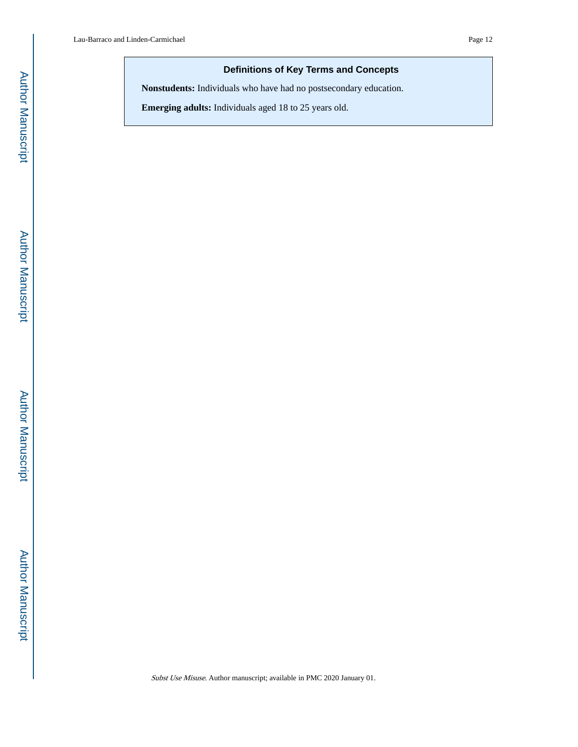# **Definitions of Key Terms and Concepts**

**Nonstudents:** Individuals who have had no postsecondary education.

**Emerging adults:** Individuals aged 18 to 25 years old.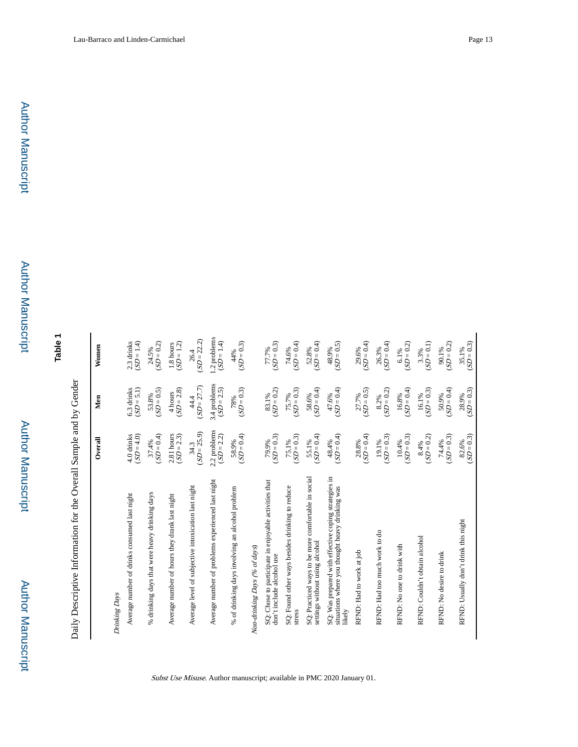**Table 1**

Daily Descriptive Information for the Overall Sample and by Gender Daily Descriptive Information for the Overall Sample and by Gender

|                                                                                                                   | Overall               | Men                   | Women                  |
|-------------------------------------------------------------------------------------------------------------------|-----------------------|-----------------------|------------------------|
| Drinking Days                                                                                                     |                       |                       |                        |
| Average number of drinks consumed last night                                                                      | $(SD = 4.0)$          | $(SD = 5.1)$          | $(SD = 1.4)$           |
|                                                                                                                   | 4.0 drinks            | 6.3 drinks            | 2.3 drinks             |
| % drinking days that were heavy drinking days                                                                     | $(SD = 0.4)$          | $(SD = 0.5)$          | $(SD = 0.2)$           |
|                                                                                                                   | 37.4%                 | 53.8%                 | 24.5%                  |
| Average number of hours they drank last night                                                                     | 2.81 hours            | $(SD = 2.8)$          | $(SD = 1.2)$           |
|                                                                                                                   | $(SD = 2.3)$          | 4 hours               | 1.8 hours              |
| Average level of subjective intoxication last night                                                               | $(SD = 25.9)$         | $(SD = 27.7)$         | $(SD = 22.2)$          |
|                                                                                                                   | 34.3                  | 44.4                  | 26.4                   |
| Average number of problems experienced last night                                                                 | 2.2 problems          | 3.4 problems          | 1.2 problems           |
|                                                                                                                   | $(SD = 2.2)$          | $(SD = 2.5)$          | $(SD = 1.4)$           |
| % of drinking days involving an alcohol problem                                                                   | $(SD = 0.4)$          | $(SD = 0.3)$          | $(SD = 0.3)$           |
|                                                                                                                   | 58.9%                 | 78%                   | 44%                    |
| Non-drinking Days (% of days)                                                                                     |                       |                       |                        |
| SQ: Chose to participate in enjoyable activities that                                                             | $(SD = 0.3)$          | $SD = 0.2$            | $77.7\%$<br>(SD = 0.3) |
| don't include alcohol use                                                                                         | 79.9%                 | 83.1%                 |                        |
| SQ: Found other ways besides drinking to reduce                                                                   | $(SD = 0.3)$          | $(SD = 0.3)$          | $(SD = 0.4)$           |
| stress                                                                                                            | 75.1%                 | 75.7%                 | 74.6%                  |
| SQ: Practiced ways to be more comfortable in social                                                               | $(SD = 0.4)$          | $(SD = 0.4)$          | $SD = 0.4$             |
| settings without using alcohol                                                                                    | 55.1%                 | 58.6%                 | 52.8%                  |
| SQ: Was prepared with effective coping strategies in<br>situations where you thought heavy drinking was<br>likely | $(SD = 0.4)$<br>48.4% | $(SD = 0.4)$<br>47.6% | $(SD = 0.5)$<br>48.9%  |
| RFND: Had to work at job                                                                                          | $(SD = 0.4)$          | $(SD = 0.5)$          | $(SD = 0.4)$           |
|                                                                                                                   | 28.8%                 | 27.7%                 | 29.6%                  |
| RFND: Had too much work to do                                                                                     | $(SD = 0.3)$          | $(SD = 0.2)$          | $(SD = 0.4)$           |
|                                                                                                                   | 19.1%                 | 8.2%                  | 26.3%                  |
| RFND: No one to drink with                                                                                        | $(SD = 0.3)$          | $(SD = 0.4)$          | $(SD = 0.2)$           |
|                                                                                                                   | 10.4%                 | 16.8%                 | 6.1%                   |
| RFND: Couldn't obtain alcohol                                                                                     | $(SD = 0.2)$          | $(SD = 0.3)$          | $(SD=0.1)$             |
|                                                                                                                   | 8.4%                  | 16.1%                 | 3.3%                   |
| RFND: No desire to drink                                                                                          | $(SD = 0.3)$          | $(SD = 0.4)$          | $(SD = 0.2)$           |
|                                                                                                                   | 74.4%                 | 50.9%                 | 90.1%                  |
| RFND: Usually don't drink this night                                                                              | $(SD = 0.3)$          | $(SD = 0.3)$          | $(SD = 0.3)$           |
|                                                                                                                   | 82.6%                 | 28.9%                 | 35.1%                  |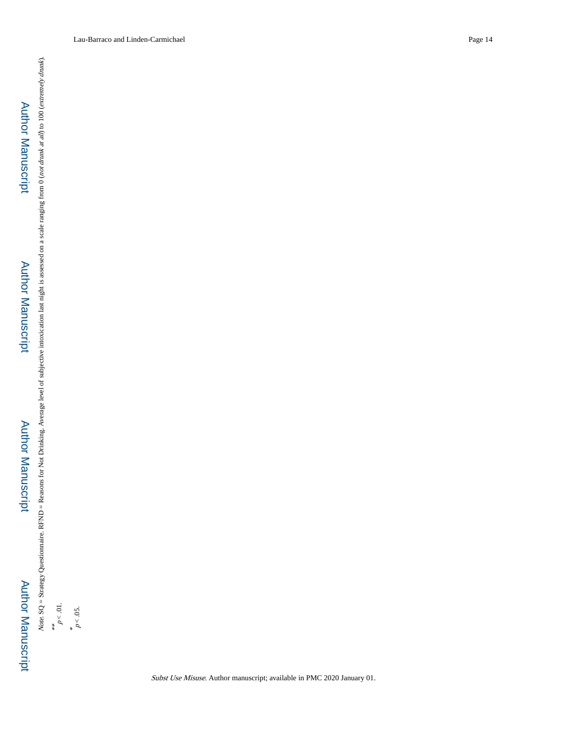Author Manuscript Author Manuscript

# Author Manuscript**Author Manuscript**

 Author ManuscriptAuthor Manuscript Note.  $SQ = Strategy$  Questionnaire. RFND = Reasons for Not Drinking. Average level of subjective intoxication last night is assessed on a scale ranging from 0 (not drunk at all) to 100 (extremely drunk). Note. SQ = Strategy Questionnaire. RFND = Reasons for Not Drinking. Average level of subjective intoxication last night is assessed on a scale ranging from 0 (not drunk at all) to 100 (extremely drunk).

\*\*<br> $p < 01$ .  $p < 0.05$ .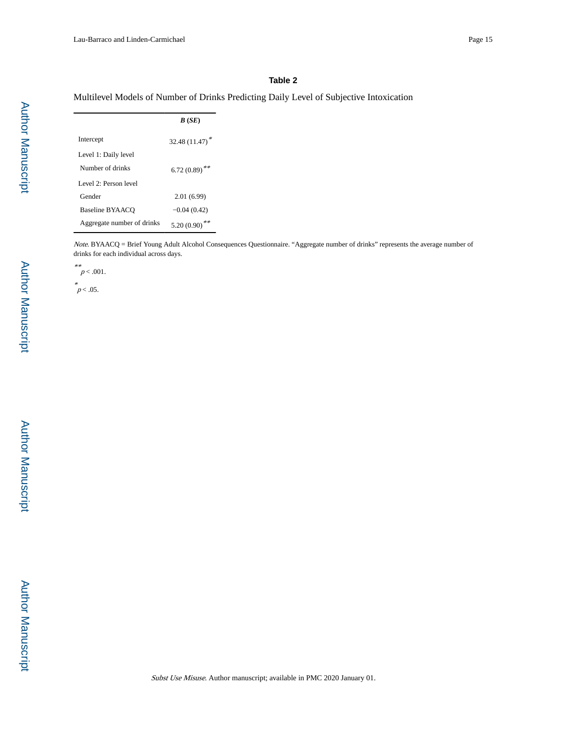## **Table 2**

Multilevel Models of Number of Drinks Predicting Daily Level of Subjective Intoxication

|                            | B(SE)                      |
|----------------------------|----------------------------|
| Intercept                  | 32.48 $(11.47)^*$          |
| Level 1: Daily level       |                            |
| Number of drinks           | $6.72(0.89)$ <sup>**</sup> |
| Level 2: Person level      |                            |
| Gender                     | 2.01(6.99)                 |
| Baseline BYAACO            | $-0.04(0.42)$              |
| Aggregate number of drinks | 5.20 (0.90)                |

Note. BYAACQ = Brief Young Adult Alcohol Consequences Questionnaire. "Aggregate number of drinks" represents the average number of drinks for each individual across days.

\*\*<br> $p < .001$ .

 $p^*$  05.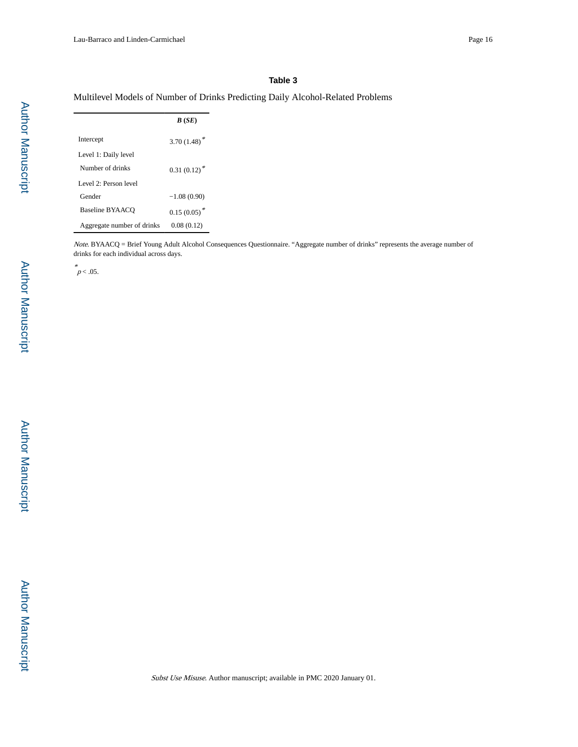## **Table 3**

# Multilevel Models of Number of Drinks Predicting Daily Alcohol-Related Problems

|                            | B(SE)          |
|----------------------------|----------------|
| Intercept                  | $3.70(1.48)^*$ |
| Level 1: Daily level       |                |
| Number of drinks           | $0.31(0.12)^*$ |
| Level 2: Person level      |                |
| Gender                     | $-1.08(0.90)$  |
| <b>Baseline BYAACO</b>     | $0.15(0.05)^*$ |
| Aggregate number of drinks | 0.08(0.12)     |

Note. BYAACQ = Brief Young Adult Alcohol Consequences Questionnaire. "Aggregate number of drinks" represents the average number of drinks for each individual across days.

 $p < .05$ .

Author Manuscript

Author Manuscript